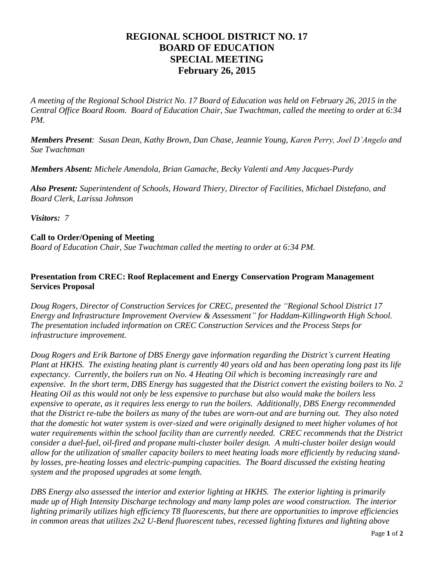## **REGIONAL SCHOOL DISTRICT NO. 17 BOARD OF EDUCATION SPECIAL MEETING February 26, 2015**

*A meeting of the Regional School District No. 17 Board of Education was held on February 26, 2015 in the Central Office Board Room. Board of Education Chair, Sue Twachtman, called the meeting to order at 6:34 PM.*

*Members Present: Susan Dean, Kathy Brown, Dan Chase, Jeannie Young, Karen Perry, Joel D'Angelo and Sue Twachtman*

*Members Absent: Michele Amendola, Brian Gamache, Becky Valenti and Amy Jacques-Purdy*

*Also Present: Superintendent of Schools, Howard Thiery, Director of Facilities, Michael Distefano, and Board Clerk, Larissa Johnson*

*Visitors: 7*

## **Call to Order/Opening of Meeting**

*Board of Education Chair, Sue Twachtman called the meeting to order at 6:34 PM.* 

## **Presentation from CREC: Roof Replacement and Energy Conservation Program Management Services Proposal**

*Doug Rogers, Director of Construction Services for CREC, presented the "Regional School District 17 Energy and Infrastructure Improvement Overview & Assessment" for Haddam-Killingworth High School. The presentation included information on CREC Construction Services and the Process Steps for infrastructure improvement.* 

*Doug Rogers and Erik Bartone of DBS Energy gave information regarding the District's current Heating Plant at HKHS. The existing heating plant is currently 40 years old and has been operating long past its life expectancy. Currently, the boilers run on No. 4 Heating Oil which is becoming increasingly rare and expensive. In the short term, DBS Energy has suggested that the District convert the existing boilers to No. 2 Heating Oil as this would not only be less expensive to purchase but also would make the boilers less expensive to operate, as it requires less energy to run the boilers. Additionally, DBS Energy recommended that the District re-tube the boilers as many of the tubes are worn-out and are burning out. They also noted that the domestic hot water system is over-sized and were originally designed to meet higher volumes of hot water requirements within the school facility than are currently needed. CREC recommends that the District consider a duel-fuel, oil-fired and propane multi-cluster boiler design. A multi-cluster boiler design would allow for the utilization of smaller capacity boilers to meet heating loads more efficiently by reducing standby losses, pre-heating losses and electric-pumping capacities. The Board discussed the existing heating system and the proposed upgrades at some length.*

*DBS Energy also assessed the interior and exterior lighting at HKHS. The exterior lighting is primarily made up of High Intensity Discharge technology and many lamp poles are wood construction. The interior lighting primarily utilizes high efficiency T8 fluorescents, but there are opportunities to improve efficiencies in common areas that utilizes 2x2 U-Bend fluorescent tubes, recessed lighting fixtures and lighting above*